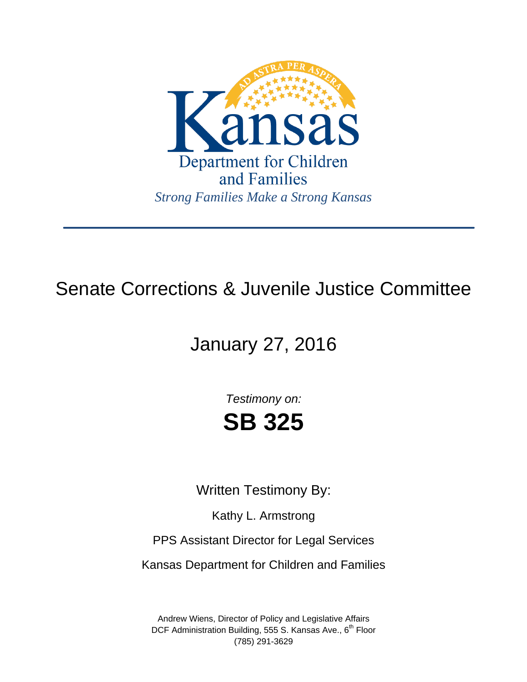

# Senate Corrections & Juvenile Justice Committee

# January 27, 2016

*Testimony on:* **SB 325** 

Written Testimony By:

Kathy L. Armstrong

PPS Assistant Director for Legal Services

Kansas Department for Children and Families

Andrew Wiens, Director of Policy and Legislative Affairs DCF Administration Building, 555 S. Kansas Ave.,  $6<sup>th</sup>$  Floor (785) 291-3629